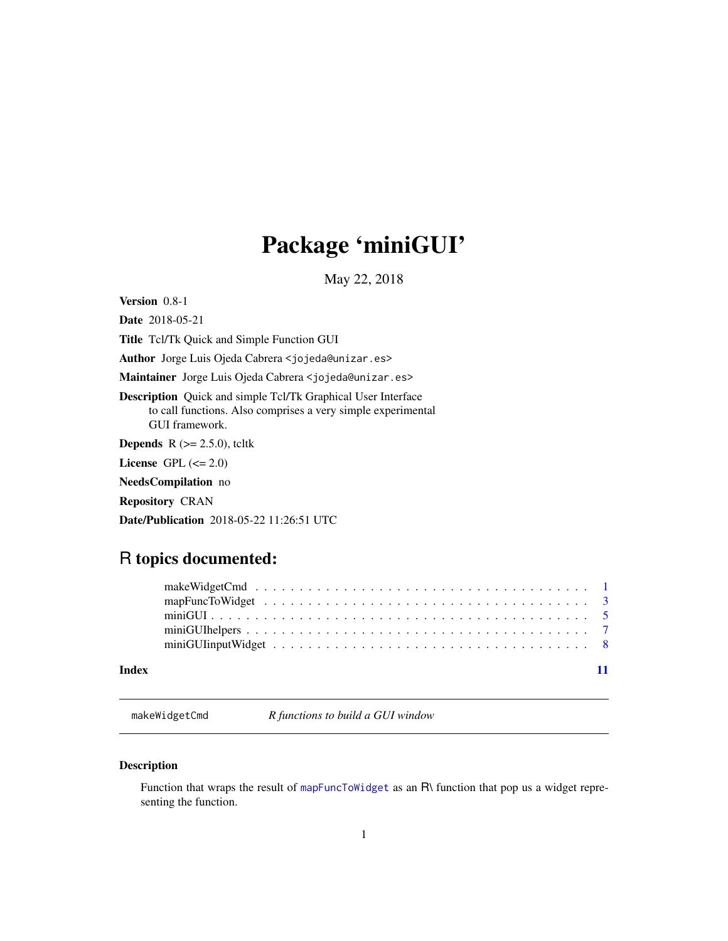# <span id="page-0-0"></span>Package 'miniGUI'

May 22, 2018

<span id="page-0-1"></span>Version 0.8-1

Date 2018-05-21 Title Tcl/Tk Quick and Simple Function GUI Author Jorge Luis Ojeda Cabrera <jojeda@unizar.es>

Maintainer Jorge Luis Ojeda Cabrera <jojeda@unizar.es>

Description Quick and simple Tcl/Tk Graphical User Interface to call functions. Also comprises a very simple experimental GUI framework.

**Depends** R  $(>= 2.5.0)$ , tcltk

License GPL  $(<= 2.0)$ 

NeedsCompilation no

Repository CRAN

Date/Publication 2018-05-22 11:26:51 UTC

# R topics documented:

| $minGUIhelpers \dots \dots \dots \dots \dots \dots \dots \dots \dots \dots \dots \dots \dots \dots \dots \dots \dots \dots$ |  |
|-----------------------------------------------------------------------------------------------------------------------------|--|
|                                                                                                                             |  |
|                                                                                                                             |  |

# **Index** [11](#page-10-0)

<span id="page-0-2"></span>makeWidgetCmd *R functions to build a GUI window*

# Description

Function that wraps the result of [mapFuncToWidget](#page-2-1) as an R\ function that pop us a widget representing the function.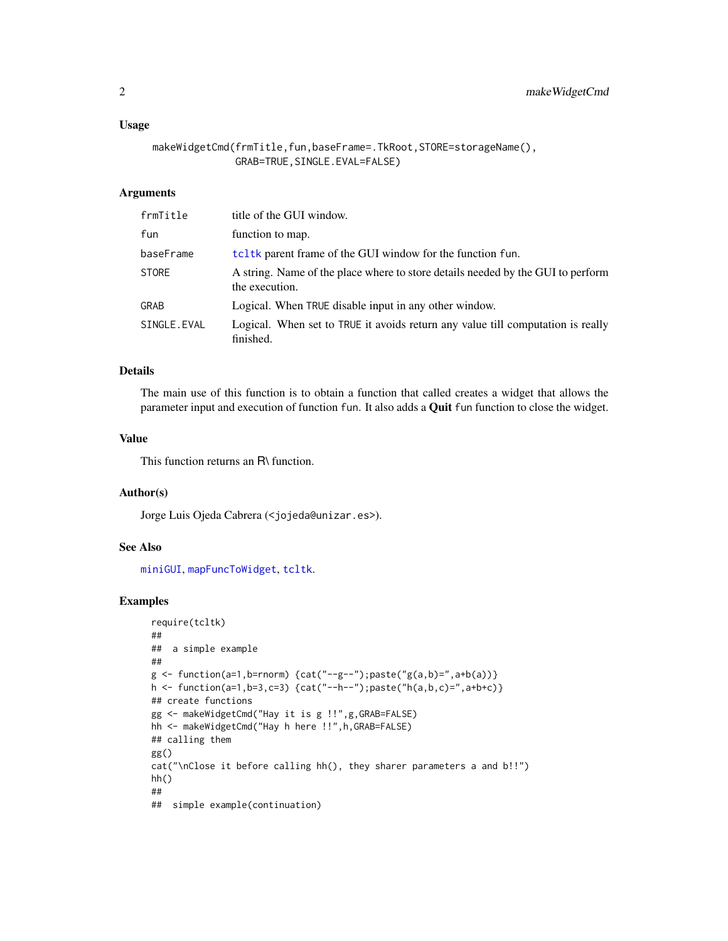#### <span id="page-1-0"></span>Usage

```
makeWidgetCmd(frmTitle,fun,baseFrame=.TkRoot,STORE=storageName(),
              GRAB=TRUE,SINGLE.EVAL=FALSE)
```
### Arguments

| frmTitle     | title of the GUI window.                                                                          |
|--------------|---------------------------------------------------------------------------------------------------|
| fun          | function to map.                                                                                  |
| baseFrame    | tel tk parent frame of the GUI window for the function fun.                                       |
| <b>STORE</b> | A string. Name of the place where to store details needed by the GUI to perform<br>the execution. |
| <b>GRAB</b>  | Logical. When TRUE disable input in any other window.                                             |
| SINGLE.EVAL  | Logical. When set to TRUE it avoids return any value till computation is really<br>finished.      |

#### Details

The main use of this function is to obtain a function that called creates a widget that allows the parameter input and execution of function fun. It also adds a Quit fun function to close the widget.

### Value

This function returns an R\ function.

#### Author(s)

Jorge Luis Ojeda Cabrera (<jojeda@unizar.es>).

#### See Also

[miniGUI](#page-4-1), [mapFuncToWidget](#page-2-1), [tcltk](#page-0-1).

# Examples

```
require(tcltk)
##
## a simple example
##
g \leftarrow function(a=1,b=rnorm) \{cat("--g--"); paste("g(a,b)=", a+b(a))\}h <- function(a=1,b=3,c=3) {cat("--h--");paste("h(a,b,c)=",a+b+c)}
## create functions
gg <- makeWidgetCmd("Hay it is g !!",g,GRAB=FALSE)
hh <- makeWidgetCmd("Hay h here !!",h,GRAB=FALSE)
## calling them
gg()
cat("\nClose it before calling hh(), they sharer parameters a and b!!")
hh()
##
## simple example(continuation)
```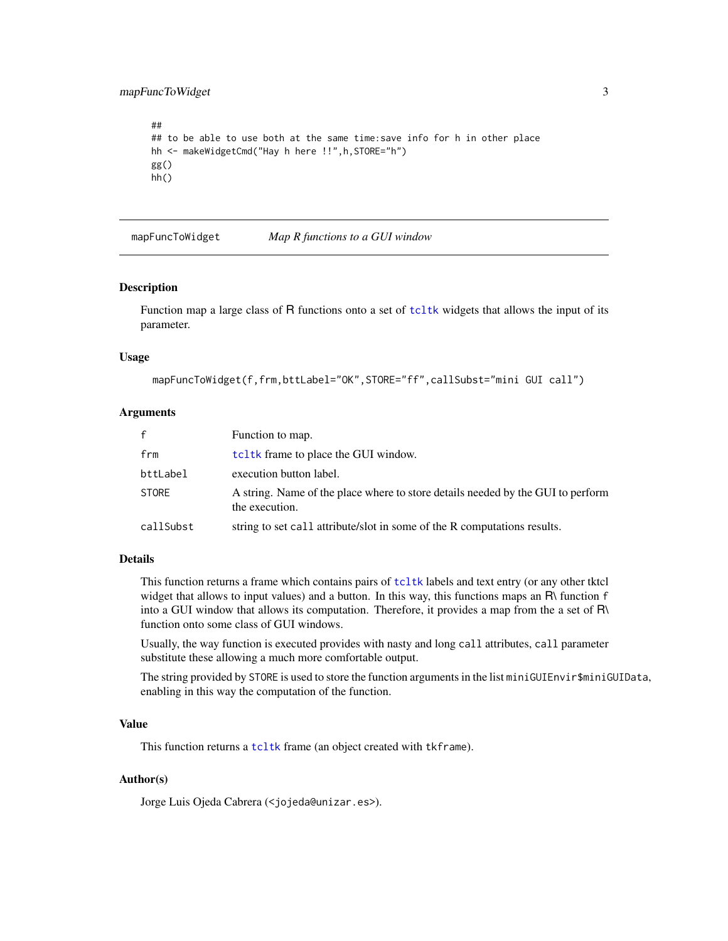<span id="page-2-0"></span>mapFuncToWidget 3

```
##
## to be able to use both at the same time: save info for h in other place
hh <- makeWidgetCmd("Hay h here !!",h,STORE="h")
gg()
hh()
```
<span id="page-2-1"></span>mapFuncToWidget *Map R functions to a GUI window*

#### **Description**

Function map a large class of R functions onto a set of [tcltk](#page-0-1) widgets that allows the input of its parameter.

#### Usage

```
mapFuncToWidget(f,frm,bttLabel="OK",STORE="ff",callSubst="mini GUI call")
```
# Arguments

| f.        | Function to map.                                                                                  |
|-----------|---------------------------------------------------------------------------------------------------|
| frm       | tcl tk frame to place the GUI window.                                                             |
| bttLabel  | execution button label.                                                                           |
| STORE     | A string. Name of the place where to store details needed by the GUI to perform<br>the execution. |
| callSubst | string to set call attribute/slot in some of the R computations results.                          |

# Details

This function returns a frame which contains pairs of [tcltk](#page-0-1) labels and text entry (or any other tktcl widget that allows to input values) and a button. In this way, this functions maps an  $\mathsf{R}\$  function f into a GUI window that allows its computation. Therefore, it provides a map from the a set of R\ function onto some class of GUI windows.

Usually, the way function is executed provides with nasty and long call attributes, call parameter substitute these allowing a much more comfortable output.

The string provided by STORE is used to store the function arguments in the list miniGUIEnvir\$miniGUIData, enabling in this way the computation of the function.

#### Value

This function returns a [tcltk](#page-0-1) frame (an object created with tkframe).

# Author(s)

Jorge Luis Ojeda Cabrera (<jojeda@unizar.es>).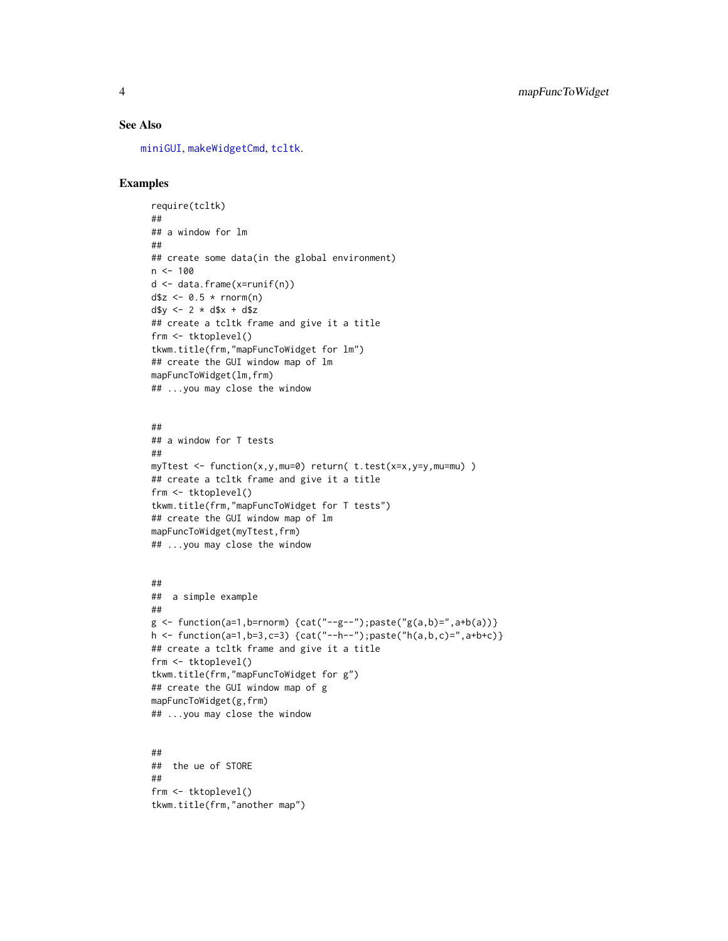# <span id="page-3-0"></span>See Also

[miniGUI](#page-4-1), [makeWidgetCmd](#page-0-2), [tcltk](#page-0-1).

# Examples

```
require(tcltk)
##
## a window for lm
##
## create some data(in the global environment)
n < -100d <- data.frame(x=runif(n))
d$z <- 0.5 * rnorm(n)
d$y <- 2 * d$x + d$z
## create a tcltk frame and give it a title
frm <- tktoplevel()
tkwm.title(frm,"mapFuncToWidget for lm")
## create the GUI window map of lm
mapFuncToWidget(lm,frm)
## ...you may close the window
```
#### ##

```
## a window for T tests
##
myTtest <- function(x,y,mu=0) return( t.test(x=x,y=y,mu=mu) )
## create a tcltk frame and give it a title
frm <- tktoplevel()
tkwm.title(frm,"mapFuncToWidget for T tests")
## create the GUI window map of lm
mapFuncToWidget(myTtest,frm)
## ...you may close the window
```
#### ##

## a simple example ##  $g \leftarrow function(a=1,b=rnorm) \{cat("--g--"); paste("g(a,b)=", a+b(a))\}$ h <- function(a=1,b=3,c=3) {cat("--h--");paste("h(a,b,c)=",a+b+c)} ## create a tcltk frame and give it a title frm <- tktoplevel() tkwm.title(frm,"mapFuncToWidget for g") ## create the GUI window map of g mapFuncToWidget(g,frm) ## ...you may close the window

## ## the ue of STORE ## frm <- tktoplevel() tkwm.title(frm,"another map")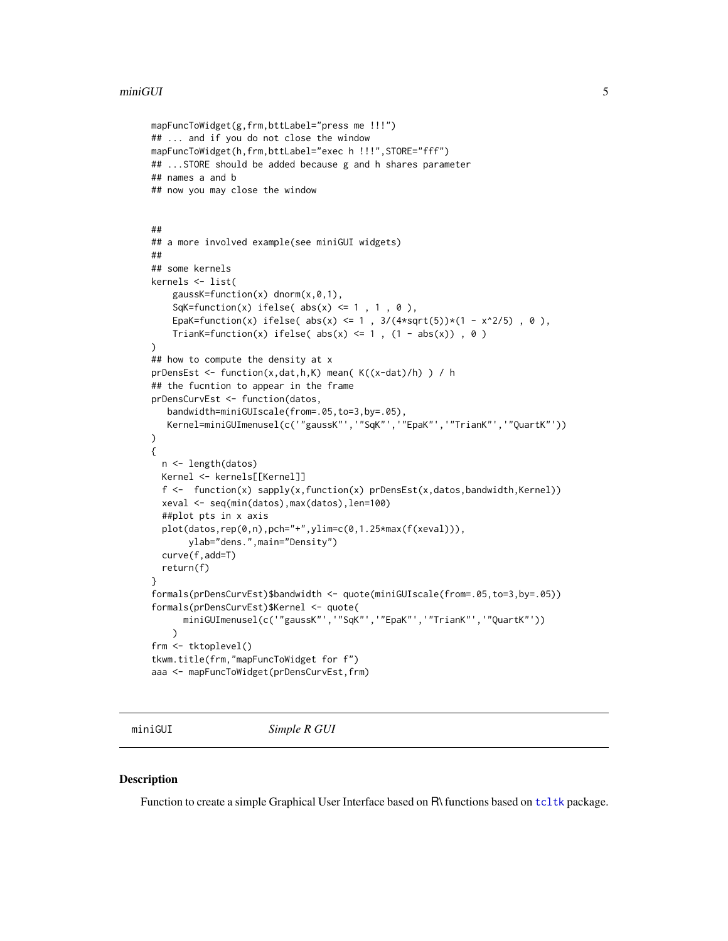```
mapFuncToWidget(g,frm,bttLabel="press me !!!")
## ... and if you do not close the window
mapFuncToWidget(h,frm,bttLabel="exec h !!!",STORE="fff")
## ...STORE should be added because g and h shares parameter
## names a and b
## now you may close the window
##
## a more involved example(see miniGUI widgets)
##
## some kernels
kernels <- list(
    gaussK=function(x) dnorm(x,0, 1),
    SqK=function(x) ifelse( abs(x) \leq 1, 1, 0),
    EpaK=function(x) ifelse( abs(x) <= 1, 3/(4*sqrt(5))*(1 - x^2/5), 0),
    TrianK=function(x) ifelse( abs(x) \leq 1, (1 - abs(x)), 0)
)
## how to compute the density at x
prDensEst <- function(x,dat,h,K) mean( K((x-dat)/h) ) / h
## the fucntion to appear in the frame
prDensCurvEst <- function(datos,
   bandwidth=miniGUIscale(from=.05,to=3,by=.05),
   Kernel=miniGUImenusel(c('"gaussK"','"SqK"','"EpaK"','"TrianK"','"QuartK"'))
)
{
  n <- length(datos)
 Kernel <- kernels[[Kernel]]
  f <- function(x) sapply(x,function(x) prDensEst(x,datos,bandwidth,Kernel))
  xeval <- seq(min(datos),max(datos),len=100)
  ##plot pts in x axis
  plot(datos,rep(0,n),pch="+",ylim=c(0,1.25*max(f(xeval))),
      ylab="dens.",main="Density")
  curve(f,add=T)
  return(f)
}
formals(prDensCurvEst)$bandwidth <- quote(miniGUIscale(from=.05,to=3,by=.05))
formals(prDensCurvEst)$Kernel <- quote(
      miniGUImenusel(c('"gaussK"','"SqK"','"EpaK"','"TrianK"','"QuartK"'))
    \lambdafrm <- tktoplevel()
tkwm.title(frm,"mapFuncToWidget for f")
aaa <- mapFuncToWidget(prDensCurvEst,frm)
```
<span id="page-4-1"></span>

miniGUI *Simple R GUI*

#### **Description**

Function to create a simple Graphical User Interface based on R\ functions based on [tcltk](#page-0-1) package.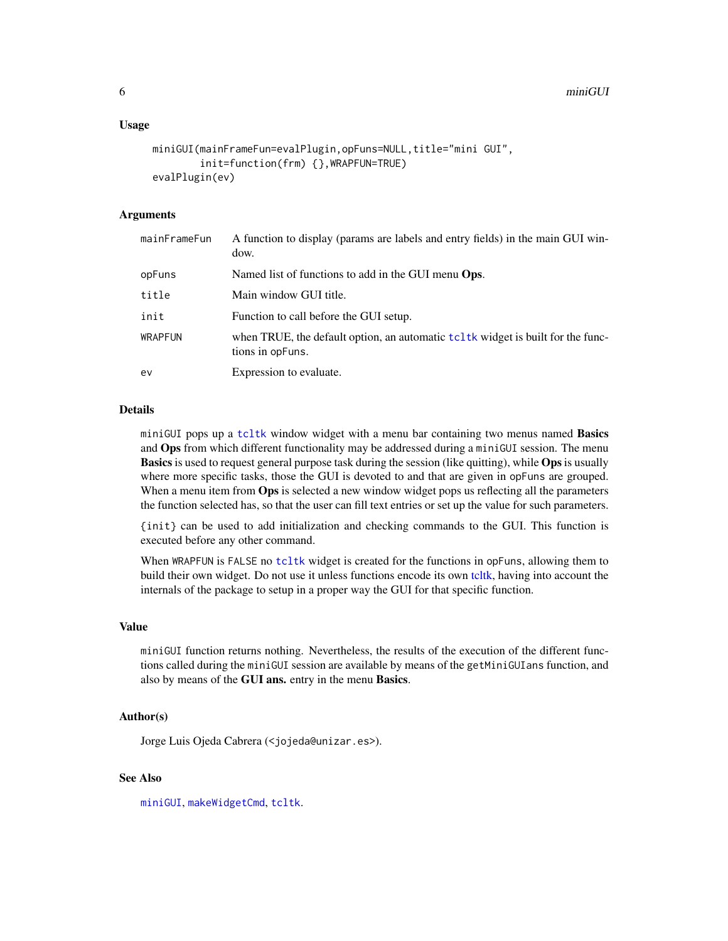#### <span id="page-5-0"></span>Usage

```
miniGUI(mainFrameFun=evalPlugin,opFuns=NULL,title="mini GUI",
        init=function(frm) {},WRAPFUN=TRUE)
evalPlugin(ev)
```
# Arguments

| mainFrameFun   | A function to display (params are labels and entry fields) in the main GUI win-<br>dow.               |
|----------------|-------------------------------------------------------------------------------------------------------|
| opFuns         | Named list of functions to add in the GUI menu <b>Ops.</b>                                            |
| title          | Main window GUI title.                                                                                |
| init           | Function to call before the GUI setup.                                                                |
| <b>WRAPFUN</b> | when TRUE, the default option, an automatic tell tk widget is built for the func-<br>tions in opFuns. |
| ev             | Expression to evaluate.                                                                               |

#### Details

miniGUI pops up a [tcltk](#page-0-1) window widget with a menu bar containing two menus named Basics and **Ops** from which different functionality may be addressed during a miniGUI session. The menu **Basics** is used to request general purpose task during the session (like quitting), while Ops is usually where more specific tasks, those the GUI is devoted to and that are given in opFuns are grouped. When a menu item from Ops is selected a new window widget pops us reflecting all the parameters the function selected has, so that the user can fill text entries or set up the value for such parameters.

{init} can be used to add initialization and checking commands to the GUI. This function is executed before any other command.

When WRAPFUN is FALSE no [tcltk](#page-0-1) widget is created for the functions in opFuns, allowing them to build their own widget. Do not use it unless functions encode its own [tcltk,](#page-0-1) having into account the internals of the package to setup in a proper way the GUI for that specific function.

#### Value

miniGUI function returns nothing. Nevertheless, the results of the execution of the different functions called during the miniGUI session are available by means of the getMiniGUIans function, and also by means of the GUI ans. entry in the menu Basics.

#### Author(s)

Jorge Luis Ojeda Cabrera (<jojeda@unizar.es>).

# See Also

[miniGUI](#page-4-1), [makeWidgetCmd](#page-0-2), [tcltk](#page-0-1).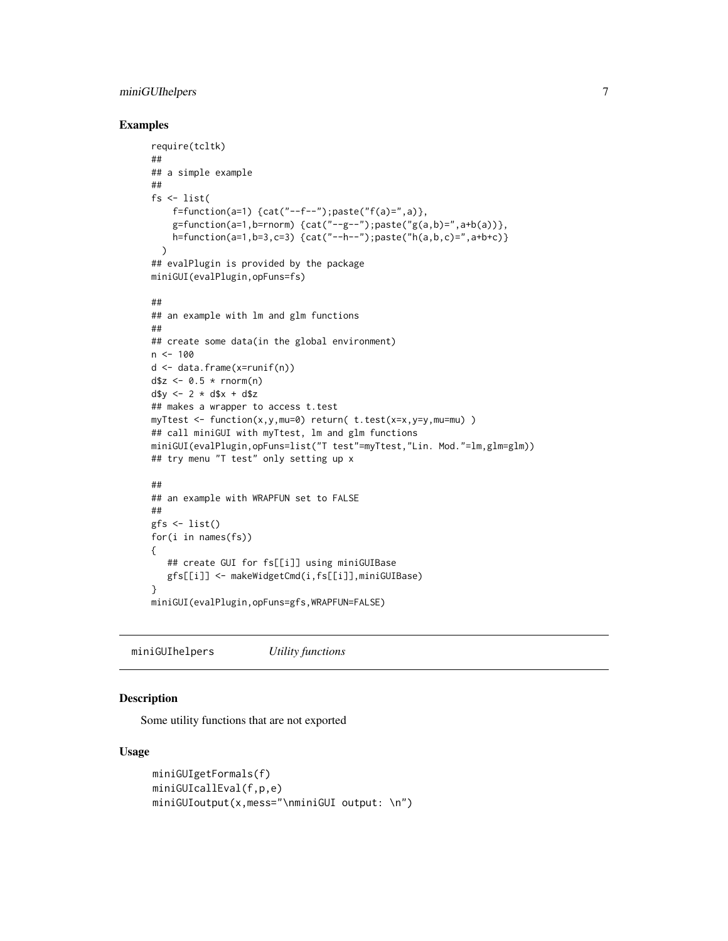# <span id="page-6-0"></span>miniGUIhelpers 7

# Examples

```
require(tcltk)
##
## a simple example
##
fs <- list(
    f=function(a=1) {cat("--f--");paste("f(a)=",a)},
    g=function(a=1,b=rnorm) {cat("--g--");paste("g(a,b)=",a+b(a))},
    h=function(a=1,b=3,c=3) {cat("--h--");paste("h(a,b,c)=",a+b+c)}
 )
## evalPlugin is provided by the package
miniGUI(evalPlugin,opFuns=fs)
##
## an example with lm and glm functions
##
## create some data(in the global environment)
n < -100d <- data.frame(x=runif(n))
d$z <- 0.5 * rnorm(n)
d$y <- 2 * d$x + d$z
## makes a wrapper to access t.test
myTtest <- function(x,y,mu=0) return( t.test(x=x,y=y,mu=mu) )
## call miniGUI with myTtest, lm and glm functions
miniGUI(evalPlugin,opFuns=list("T test"=myTtest,"Lin. Mod."=lm,glm=glm))
## try menu "T test" only setting up x
##
## an example with WRAPFUN set to FALSE
##
gfs <- list()
for(i in names(fs))
{
   ## create GUI for fs[[i]] using miniGUIBase
   gfs[[i]] <- makeWidgetCmd(i,fs[[i]],miniGUIBase)
}
miniGUI(evalPlugin,opFuns=gfs,WRAPFUN=FALSE)
```
miniGUIhelpers *Utility functions*

# Description

Some utility functions that are not exported

### Usage

```
miniGUIgetFormals(f)
miniGUIcallEval(f,p,e)
miniGUIoutput(x,mess="\nminiGUI output: \n")
```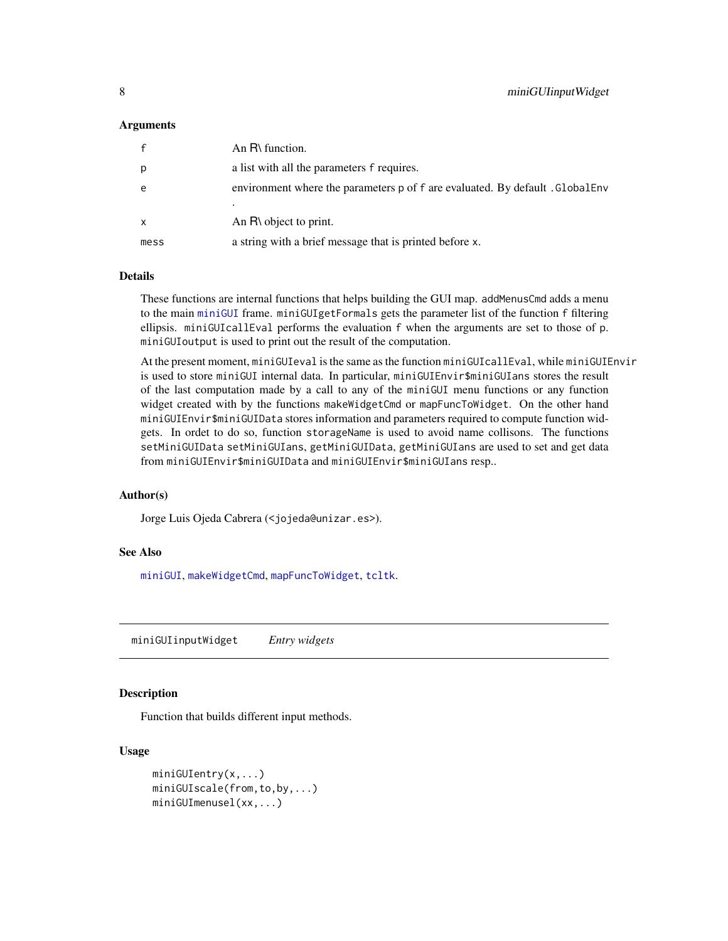#### <span id="page-7-0"></span>Arguments

|              | An $R\$ function.                                                             |
|--------------|-------------------------------------------------------------------------------|
| p            | a list with all the parameters f requires.                                    |
| e            | environment where the parameters p of f are evaluated. By default . GlobalEnv |
|              |                                                                               |
| $\mathsf{x}$ | An $R\setminus$ object to print.                                              |
| mess         | a string with a brief message that is printed before x.                       |

#### Details

These functions are internal functions that helps building the GUI map. addMenusCmd adds a menu to the main [miniGUI](#page-4-1) frame. miniGUIgetFormals gets the parameter list of the function f filtering ellipsis. miniGUIcallEval performs the evaluation f when the arguments are set to those of p. miniGUIoutput is used to print out the result of the computation.

At the present moment, miniGUIeval is the same as the function miniGUIcallEval, while miniGUIEnvir is used to store miniGUI internal data. In particular, miniGUIEnvir\$miniGUIans stores the result of the last computation made by a call to any of the miniGUI menu functions or any function widget created with by the functions makeWidgetCmd or mapFuncToWidget. On the other hand miniGUIEnvir\$miniGUIData stores information and parameters required to compute function widgets. In ordet to do so, function storageName is used to avoid name collisons. The functions setMiniGUIData setMiniGUIans, getMiniGUIData, getMiniGUIans are used to set and get data from miniGUIEnvir\$miniGUIData and miniGUIEnvir\$miniGUIans resp..

#### Author(s)

Jorge Luis Ojeda Cabrera (<jojeda@unizar.es>).

#### See Also

[miniGUI](#page-4-1), [makeWidgetCmd](#page-0-2), [mapFuncToWidget](#page-2-1), [tcltk](#page-0-1).

miniGUIinputWidget *Entry widgets*

#### Description

Function that builds different input methods.

# Usage

```
miniGUIentry(x,...)
miniGUIscale(from,to,by,...)
miniGUImenusel(xx,...)
```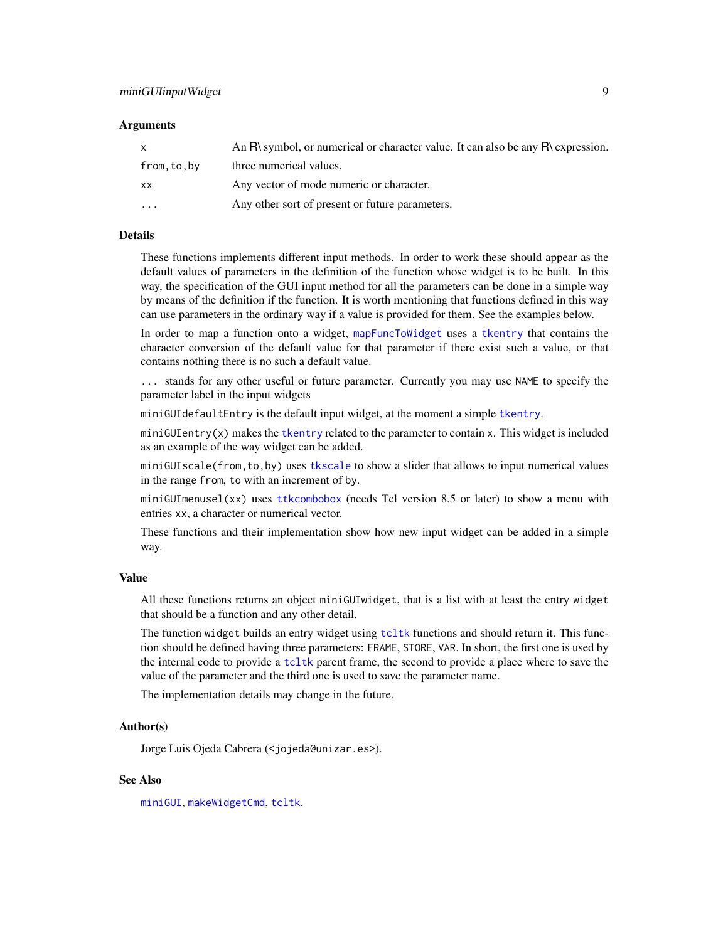#### <span id="page-8-0"></span>Arguments

| $\mathsf{x}$            | An R\ symbol, or numerical or character value. It can also be any R\ expression. |
|-------------------------|----------------------------------------------------------------------------------|
| from.to.by              | three numerical values.                                                          |
| <b>XX</b>               | Any vector of mode numeric or character.                                         |
| $\cdot$ $\cdot$ $\cdot$ | Any other sort of present or future parameters.                                  |

## Details

These functions implements different input methods. In order to work these should appear as the default values of parameters in the definition of the function whose widget is to be built. In this way, the specification of the GUI input method for all the parameters can be done in a simple way by means of the definition if the function. It is worth mentioning that functions defined in this way can use parameters in the ordinary way if a value is provided for them. See the examples below.

In order to map a function onto a widget, [mapFuncToWidget](#page-2-1) uses a [tkentry](#page-0-1) that contains the character conversion of the default value for that parameter if there exist such a value, or that contains nothing there is no such a default value.

... stands for any other useful or future parameter. Currently you may use NAME to specify the parameter label in the input widgets

miniGUIdefaultEntry is the default input widget, at the moment a simple [tkentry](#page-0-1).

miniGUIentry(x) makes the [tkentry](#page-0-1) related to the parameter to contain x. This widget is included as an example of the way widget can be added.

miniGUIscale(from,to,by) uses [tkscale](#page-0-1) to show a slider that allows to input numerical values in the range from, to with an increment of by.

miniGUImenusel(xx) uses [ttkcombobox](#page-0-1) (needs Tcl version 8.5 or later) to show a menu with entries xx, a character or numerical vector.

These functions and their implementation show how new input widget can be added in a simple way.

#### Value

All these functions returns an object miniGUIwidget, that is a list with at least the entry widget that should be a function and any other detail.

The function widget builds an entry widget using [tcltk](#page-0-1) functions and should return it. This function should be defined having three parameters: FRAME, STORE, VAR. In short, the first one is used by the internal code to provide a [tcltk](#page-0-1) parent frame, the second to provide a place where to save the value of the parameter and the third one is used to save the parameter name.

The implementation details may change in the future.

#### Author(s)

Jorge Luis Ojeda Cabrera (<jojeda@unizar.es>).

### See Also

[miniGUI](#page-4-1), [makeWidgetCmd](#page-0-2), [tcltk](#page-0-1).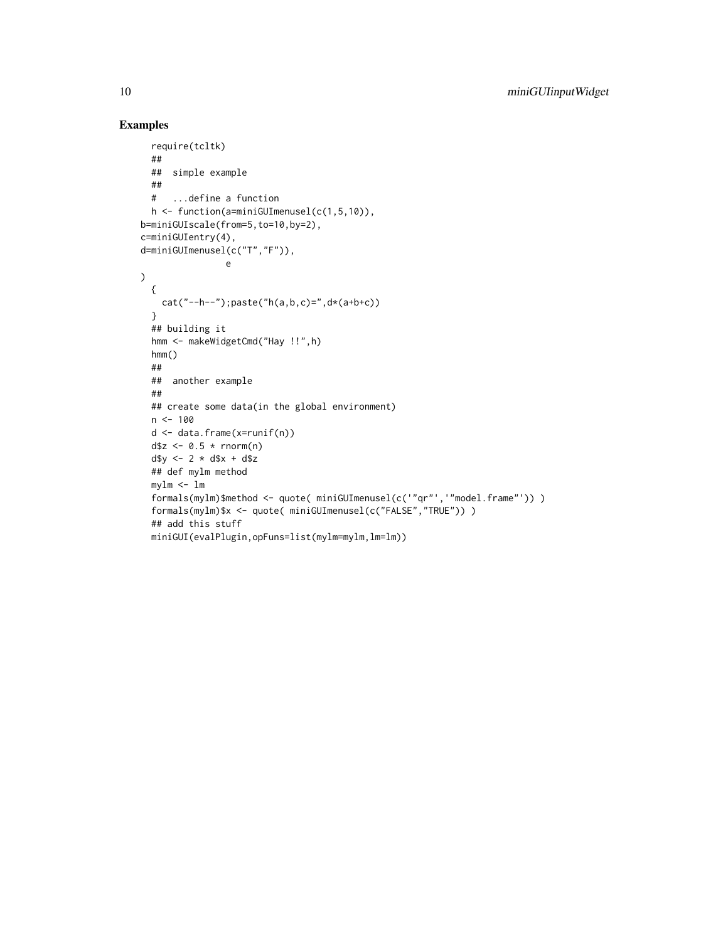# Examples

```
require(tcltk)
  ##
  ## simple example
  ##
  # ...define a function
 h <- function(a=miniGUImenusel(c(1,5,10)),
b=miniGUIscale(from=5,to=10,by=2),
c=miniGUIentry(4),
d=miniGUImenusel(c("T","F")),
                e
\lambda{
   cat("--h--"); paste("h(a,b,c)=",d*(a+b+c))
  }
  ## building it
  hmm <- makeWidgetCmd("Hay !!",h)
  hmm()
  ##
  ## another example
  ##
  ## create some data(in the global environment)
  n < -100d <- data.frame(x=runif(n))
  d$z <- 0.5 * rnorm(n)
  d$y <- 2 * d$x + d$z
  ## def mylm method
  mylm <- lm
  formals(mylm)$method <- quote( miniGUImenusel(c('"qr"','"model.frame"')) )
  formals(mylm)$x <- quote( miniGUImenusel(c("FALSE","TRUE")) )
  ## add this stuff
  miniGUI(evalPlugin,opFuns=list(mylm=mylm,lm=lm))
```